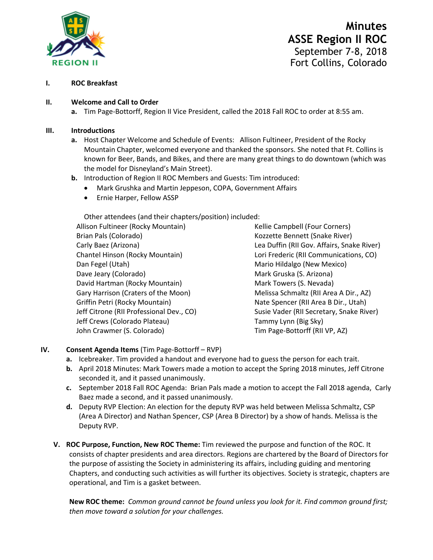

# **Minutes ASSE Region II ROC** September 7-8, 2018 Fort Collins, Colorado

#### **I. ROC Breakfast**

#### **II. Welcome and Call to Order**

**a.** Tim Page-Bottorff, Region II Vice President, called the 2018 Fall ROC to order at 8:55 am.

#### **III. Introductions**

- **a.** Host Chapter Welcome and Schedule of Events: Allison Fultineer, President of the Rocky Mountain Chapter, welcomed everyone and thanked the sponsors. She noted that Ft. Collins is known for Beer, Bands, and Bikes, and there are many great things to do downtown (which was the model for Disneyland's Main Street).
- **b.** Introduction of Region II ROC Members and Guests: Tim introduced:
	- Mark Grushka and Martin Jeppeson, COPA, Government Affairs
	- Ernie Harper, Fellow ASSP

Other attendees (and their chapters/position) included:

| Allison Fultineer (Rocky Mountain)       |
|------------------------------------------|
| Brian Pals (Colorado)                    |
| Carly Baez (Arizona)                     |
| Chantel Hinson (Rocky Mountain)          |
| Dan Fegel (Utah)                         |
| Dave Jeary (Colorado)                    |
| David Hartman (Rocky Mountain)           |
| Gary Harrison (Craters of the Moon)      |
| Griffin Petri (Rocky Mountain)           |
| Jeff Citrone (RII Professional Dev., CO) |
| Jeff Crews (Colorado Plateau)            |
| John Crawmer (S. Colorado)               |

Kellie Campbell (Four Corners) Kozzette Bennett (Snake River) Lea Duffin (RII Gov. Affairs, Snake River) Lori Frederic (RII Communications, CO) Mario Hildalgo (New Mexico) Mark Gruska (S. Arizona) Mark Towers (S. Nevada) Melissa Schmaltz (RII Area A Dir., AZ) Nate Spencer (RII Area B Dir., Utah) Susie Vader (RII Secretary, Snake River) Tammy Lynn (Big Sky) Tim Page-Bottorff (RII VP, AZ)

#### **IV. Consent Agenda Items** (Tim Page-Bottorff – RVP)

- **a.** Icebreaker. Tim provided a handout and everyone had to guess the person for each trait.
- **b.** April 2018 Minutes: Mark Towers made a motion to accept the Spring 2018 minutes, Jeff Citrone seconded it, and it passed unanimously.
- **c.** September 2018 Fall ROC Agenda: Brian Pals made a motion to accept the Fall 2018 agenda, Carly Baez made a second, and it passed unanimously.
- **d.** Deputy RVP Election: An election for the deputy RVP was held between Melissa Schmaltz, CSP (Area A Director) and Nathan Spencer, CSP (Area B Director) by a show of hands. Melissa is the Deputy RVP.
- **V. ROC Purpose, Function, New ROC Theme:** Tim reviewed the purpose and function of the ROC. It consists of chapter presidents and area directors. Regions are chartered by the Board of Directors for the purpose of assisting the Society in administering its affairs, including guiding and mentoring Chapters, and conducting such activities as will further its objectives. Society is strategic, chapters are operational, and Tim is a gasket between.

**New ROC theme:** *Common ground cannot be found unless you look for it. Find common ground first; then move toward a solution for your challenges.*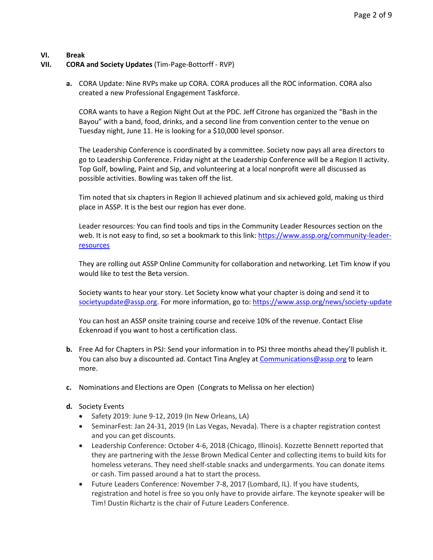## **VI. Break**

## **VII. CORA and Society Updates** (Tim-Page-Bottorff - RVP)

**a.** CORA Update: Nine RVPs make up CORA. CORA produces all the ROC information. CORA also created a new Professional Engagement Taskforce.

CORA wants to have a Region Night Out at the PDC. Jeff Citrone has organized the "Bash in the Bayou" with a band, food, drinks, and a second line from convention center to the venue on Tuesday night, June 11. He is looking for a \$10,000 level sponsor.

The Leadership Conference is coordinated by a committee. Society now pays all area directors to go to Leadership Conference. Friday night at the Leadership Conference will be a Region II activity. Top Golf, bowling, Paint and Sip, and volunteering at a local nonprofit were all discussed as possible activities. Bowling was taken off the list.

Tim noted that six chapters in Region II achieved platinum and six achieved gold, making us third place in ASSP. It is the best our region has ever done.

Leader resources: You can find tools and tips in the Community Leader Resources section on the web. It is not easy to find, so set a bookmark to this link: [https://www.assp.org/community-leader](https://www.assp.org/community-leader-resources)**[resources](https://www.assp.org/community-leader-resources)** 

They are rolling out ASSP Online Community for collaboration and networking. Let Tim know if you would like to test the Beta version.

Society wants to hear your story. Let Society know what your chapter is doing and send it to [societyupdate@assp.org.](mailto:societyupdate@assp.org) For more information, go to:<https://www.assp.org/news/society-update>

You can host an ASSP onsite training course and receive 10% of the revenue. Contact Elise Eckenroad if you want to host a certification class.

- **b.** Free Ad for Chapters in PSJ: Send your information in to PSJ three months ahead they'll publish it. You can also buy a discounted ad. Contact Tina Angley a[t Communications@assp.org](mailto:Communications@assp.org) to learn more.
- **c.** Nominations and Elections are Open (Congrats to Melissa on her election)
- **d.** Society Events
	- Safety 2019: June 9-12, 2019 (In New Orleans, LA)
	- SeminarFest: Jan 24-31, 2019 (In Las Vegas, Nevada). There is a chapter registration contest and you can get discounts.
	- Leadership Conference: October 4-6, 2018 (Chicago, Illinois). Kozzette Bennett reported that they are partnering with the Jesse Brown Medical Center and collecting items to build kits for homeless veterans. They need shelf-stable snacks and undergarments. You can donate items or cash. Tim passed around a hat to start the process.
	- Future Leaders Conference: November 7-8, 2017 (Lombard, IL). If you have students, registration and hotel is free so you only have to provide airfare. The keynote speaker will be Tim! Dustin Richartz is the chair of Future Leaders Conference.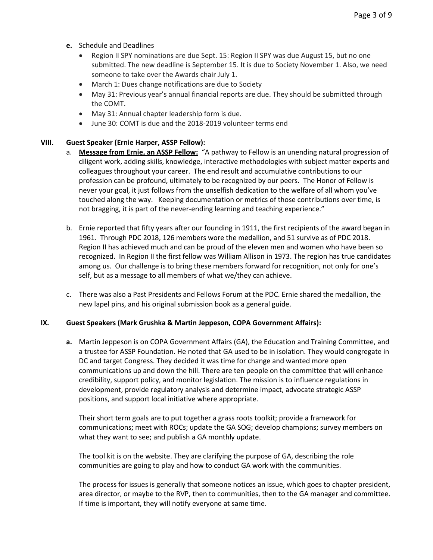- **e.** Schedule and Deadlines
	- Region II SPY nominations are due Sept. 15: Region II SPY was due August 15, but no one submitted. The new deadline is September 15. It is due to Society November 1. Also, we need someone to take over the Awards chair July 1.
	- March 1: Dues change notifications are due to Society
	- May 31: Previous year's annual financial reports are due. They should be submitted through the COMT.
	- May 31: Annual chapter leadership form is due.
	- June 30: COMT is due and the 2018-2019 volunteer terms end

## **VIII. Guest Speaker (Ernie Harper, ASSP Fellow):**

- a. **Message from Ernie, an ASSP Fellow:** "A pathway to Fellow is an unending natural progression of diligent work, adding skills, knowledge, interactive methodologies with subject matter experts and colleagues throughout your career. The end result and accumulative contributions to our profession can be profound, ultimately to be recognized by our peers. The Honor of Fellow is never your goal, it just follows from the unselfish dedication to the welfare of all whom you've touched along the way. Keeping documentation or metrics of those contributions over time, is not bragging, it is part of the never-ending learning and teaching experience."
- b. Ernie reported that fifty years after our founding in 1911, the first recipients of the award began in 1961. Through PDC 2018, 126 members wore the medallion, and 51 survive as of PDC 2018. Region II has achieved much and can be proud of the eleven men and women who have been so recognized. In Region II the first fellow was William Allison in 1973. The region has true candidates among us. Our challenge is to bring these members forward for recognition, not only for one's self, but as a message to all members of what we/they can achieve.
- c. There was also a Past Presidents and Fellows Forum at the PDC. Ernie shared the medallion, the new lapel pins, and his original submission book as a general guide.

#### **IX. Guest Speakers (Mark Grushka & Martin Jeppeson, COPA Government Affairs):**

**a.** Martin Jeppeson is on COPA Government Affairs (GA), the Education and Training Committee, and a trustee for ASSP Foundation. He noted that GA used to be in isolation. They would congregate in DC and target Congress. They decided it was time for change and wanted more open communications up and down the hill. There are ten people on the committee that will enhance credibility, support policy, and monitor legislation. The mission is to influence regulations in development, provide regulatory analysis and determine impact, advocate strategic ASSP positions, and support local initiative where appropriate.

Their short term goals are to put together a grass roots toolkit; provide a framework for communications; meet with ROCs; update the GA SOG; develop champions; survey members on what they want to see; and publish a GA monthly update.

The tool kit is on the website. They are clarifying the purpose of GA, describing the role communities are going to play and how to conduct GA work with the communities.

The process for issues is generally that someone notices an issue, which goes to chapter president, area director, or maybe to the RVP, then to communities, then to the GA manager and committee. If time is important, they will notify everyone at same time.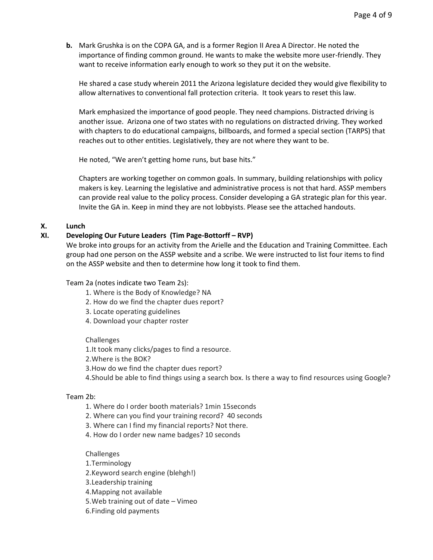**b.** Mark Grushka is on the COPA GA, and is a former Region II Area A Director. He noted the importance of finding common ground. He wants to make the website more user-friendly. They want to receive information early enough to work so they put it on the website.

He shared a case study wherein 2011 the Arizona legislature decided they would give flexibility to allow alternatives to conventional fall protection criteria. It took years to reset this law.

Mark emphasized the importance of good people. They need champions. Distracted driving is another issue. Arizona one of two states with no regulations on distracted driving. They worked with chapters to do educational campaigns, billboards, and formed a special section (TARPS) that reaches out to other entities. Legislatively, they are not where they want to be.

He noted, "We aren't getting home runs, but base hits."

Chapters are working together on common goals. In summary, building relationships with policy makers is key. Learning the legislative and administrative process is not that hard. ASSP members can provide real value to the policy process. Consider developing a GA strategic plan for this year. Invite the GA in. Keep in mind they are not lobbyists. Please see the attached handouts.

#### **X. Lunch**

#### **XI. Developing Our Future Leaders (Tim Page-Bottorff – RVP)**

We broke into groups for an activity from the Arielle and the Education and Training Committee. Each group had one person on the ASSP website and a scribe. We were instructed to list four items to find on the ASSP website and then to determine how long it took to find them.

#### Team 2a (notes indicate two Team 2s):

- 1. Where is the Body of Knowledge? NA
- 2. How do we find the chapter dues report?
- 3. Locate operating guidelines
- 4. Download your chapter roster

#### Challenges

1.It took many clicks/pages to find a resource.

2.Where is the BOK?

- 3.How do we find the chapter dues report?
- 4.Should be able to find things using a search box. Is there a way to find resources using Google?

# Team 2b:

- 1. Where do I order booth materials? 1min 15seconds
- 2. Where can you find your training record? 40 seconds
- 3. Where can I find my financial reports? Not there.
- 4. How do I order new name badges? 10 seconds

#### Challenges

- 1.Terminology
- 2.Keyword search engine (blehgh!)
- 3.Leadership training
- 4.Mapping not available
- 5.Web training out of date Vimeo
- 6.Finding old payments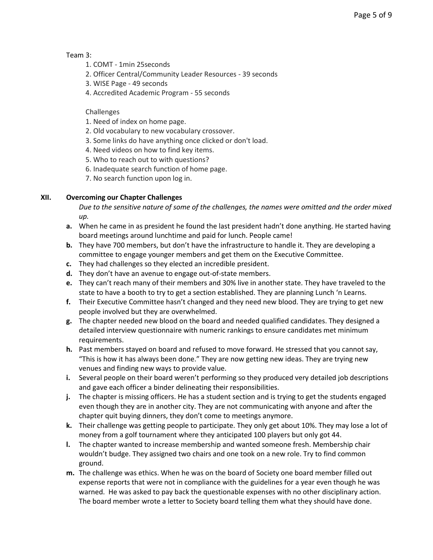#### Team 3:

- 1. COMT 1min 25seconds
- 2. Officer Central/Community Leader Resources 39 seconds
- 3. WISE Page 49 seconds
- 4. Accredited Academic Program 55 seconds

## Challenges

- 1. Need of index on home page.
- 2. Old vocabulary to new vocabulary crossover.
- 3. Some links do have anything once clicked or don't load.
- 4. Need videos on how to find key items.
- 5. Who to reach out to with questions?
- 6. Inadequate search function of home page.
- 7. No search function upon log in.

# **XII. Overcoming our Chapter Challenges**

*Due to the sensitive nature of some of the challenges, the names were omitted and the order mixed up.* 

- **a.** When he came in as president he found the last president hadn't done anything. He started having board meetings around lunchtime and paid for lunch. People came!
- **b.** They have 700 members, but don't have the infrastructure to handle it. They are developing a committee to engage younger members and get them on the Executive Committee.
- **c.** They had challenges so they elected an incredible president.
- **d.** They don't have an avenue to engage out-of-state members.
- **e.** They can't reach many of their members and 30% live in another state. They have traveled to the state to have a booth to try to get a section established. They are planning Lunch 'n Learns.
- **f.** Their Executive Committee hasn't changed and they need new blood. They are trying to get new people involved but they are overwhelmed.
- **g.** The chapter needed new blood on the board and needed qualified candidates. They designed a detailed interview questionnaire with numeric rankings to ensure candidates met minimum requirements.
- **h.** Past members stayed on board and refused to move forward. He stressed that you cannot say, "This is how it has always been done." They are now getting new ideas. They are trying new venues and finding new ways to provide value.
- **i.** Several people on their board weren't performing so they produced very detailed job descriptions and gave each officer a binder delineating their responsibilities.
- **j.** The chapter is missing officers. He has a student section and is trying to get the students engaged even though they are in another city. They are not communicating with anyone and after the chapter quit buying dinners, they don't come to meetings anymore.
- **k.** Their challenge was getting people to participate. They only get about 10%. They may lose a lot of money from a golf tournament where they anticipated 100 players but only got 44.
- **l.** The chapter wanted to increase membership and wanted someone fresh. Membership chair wouldn't budge. They assigned two chairs and one took on a new role. Try to find common ground.
- **m.** The challenge was ethics. When he was on the board of Society one board member filled out expense reports that were not in compliance with the guidelines for a year even though he was warned. He was asked to pay back the questionable expenses with no other disciplinary action. The board member wrote a letter to Society board telling them what they should have done.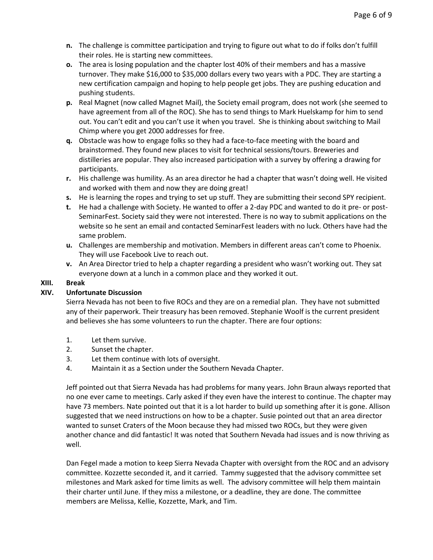- **n.** The challenge is committee participation and trying to figure out what to do if folks don't fulfill their roles. He is starting new committees.
- **o.** The area is losing population and the chapter lost 40% of their members and has a massive turnover. They make \$16,000 to \$35,000 dollars every two years with a PDC. They are starting a new certification campaign and hoping to help people get jobs. They are pushing education and pushing students.
- **p.** Real Magnet (now called Magnet Mail), the Society email program, does not work (she seemed to have agreement from all of the ROC). She has to send things to Mark Huelskamp for him to send out. You can't edit and you can't use it when you travel. She is thinking about switching to Mail Chimp where you get 2000 addresses for free.
- **q.** Obstacle was how to engage folks so they had a face-to-face meeting with the board and brainstormed. They found new places to visit for technical sessions/tours. Breweries and distilleries are popular. They also increased participation with a survey by offering a drawing for participants.
- **r.** His challenge was humility. As an area director he had a chapter that wasn't doing well. He visited and worked with them and now they are doing great!
- **s.** He is learning the ropes and trying to set up stuff. They are submitting their second SPY recipient.
- **t.** He had a challenge with Society. He wanted to offer a 2-day PDC and wanted to do it pre- or post-SeminarFest. Society said they were not interested. There is no way to submit applications on the website so he sent an email and contacted SeminarFest leaders with no luck. Others have had the same problem.
- **u.** Challenges are membership and motivation. Members in different areas can't come to Phoenix. They will use Facebook Live to reach out.
- **v.** An Area Director tried to help a chapter regarding a president who wasn't working out. They sat everyone down at a lunch in a common place and they worked it out.

#### **XIII. Break**

#### **XIV. Unfortunate Discussion**

Sierra Nevada has not been to five ROCs and they are on a remedial plan. They have not submitted any of their paperwork. Their treasury has been removed. Stephanie Woolf is the current president and believes she has some volunteers to run the chapter. There are four options:

- 1. Let them survive.
- 2. Sunset the chapter.
- 3. Let them continue with lots of oversight.
- 4. Maintain it as a Section under the Southern Nevada Chapter.

Jeff pointed out that Sierra Nevada has had problems for many years. John Braun always reported that no one ever came to meetings. Carly asked if they even have the interest to continue. The chapter may have 73 members. Nate pointed out that it is a lot harder to build up something after it is gone. Allison suggested that we need instructions on how to be a chapter. Susie pointed out that an area director wanted to sunset Craters of the Moon because they had missed two ROCs, but they were given another chance and did fantastic! It was noted that Southern Nevada had issues and is now thriving as well.

Dan Fegel made a motion to keep Sierra Nevada Chapter with oversight from the ROC and an advisory committee. Kozzette seconded it, and it carried. Tammy suggested that the advisory committee set milestones and Mark asked for time limits as well. The advisory committee will help them maintain their charter until June. If they miss a milestone, or a deadline, they are done. The committee members are Melissa, Kellie, Kozzette, Mark, and Tim.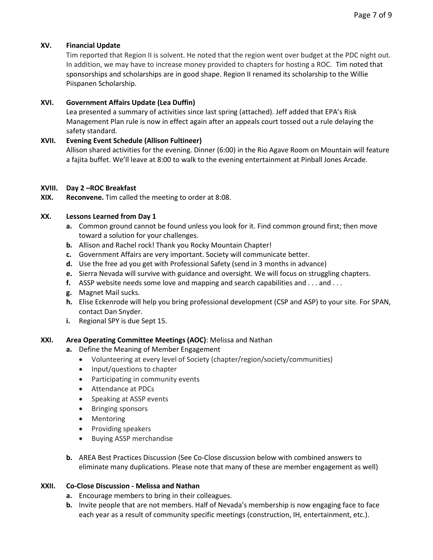## **XV. Financial Update**

Tim reported that Region II is solvent. He noted that the region went over budget at the PDC night out. In addition, we may have to increase money provided to chapters for hosting a ROC. Tim noted that sponsorships and scholarships are in good shape. Region II renamed its scholarship to the Willie Piispanen Scholarship.

# **XVI. Government Affairs Update (Lea Duffin)**

Lea presented a summary of activities since last spring (attached). Jeff added that EPA's Risk Management Plan rule is now in effect again after an appeals court tossed out a rule delaying the safety standard.

## **XVII. Evening Event Schedule (Allison Fultineer)**

Allison shared activities for the evening. Dinner (6:00) in the Rio Agave Room on Mountain will feature a fajita buffet. We'll leave at 8:00 to walk to the evening entertainment at Pinball Jones Arcade.

## **XVIII. Day 2 –ROC Breakfast**

**XIX. Reconvene.** Tim called the meeting to order at 8:08.

## **XX. Lessons Learned from Day 1**

- **a.** Common ground cannot be found unless you look for it. Find common ground first; then move toward a solution for your challenges.
- **b.** Allison and Rachel rock! Thank you Rocky Mountain Chapter!
- **c.** Government Affairs are very important. Society will communicate better.
- **d.** Use the free ad you get with Professional Safety (send in 3 months in advance)
- **e.** Sierra Nevada will survive with guidance and oversight. We will focus on struggling chapters.
- **f.** ASSP website needs some love and mapping and search capabilities and . . . and . . .
- **g.** Magnet Mail sucks.
- **h.** Elise Eckenrode will help you bring professional development (CSP and ASP) to your site. For SPAN, contact Dan Snyder.
- **i.** Regional SPY is due Sept 15.

#### **XXI. Area Operating Committee Meetings (AOC)**: Melissa and Nathan

- **a.** Define the Meaning of Member Engagement
	- Volunteering at every level of Society (chapter/region/society/communities)
	- Input/questions to chapter
	- Participating in community events
	- Attendance at PDCs
	- Speaking at ASSP events
	- Bringing sponsors
	- Mentoring
	- Providing speakers
	- Buying ASSP merchandise
- **b.** AREA Best Practices Discussion (See Co-Close discussion below with combined answers to eliminate many duplications. Please note that many of these are member engagement as well)

## **XXII. Co-Close Discussion - Melissa and Nathan**

- **a.** Encourage members to bring in their colleagues.
- **b.** Invite people that are not members. Half of Nevada's membership is now engaging face to face each year as a result of community specific meetings (construction, IH, entertainment, etc.).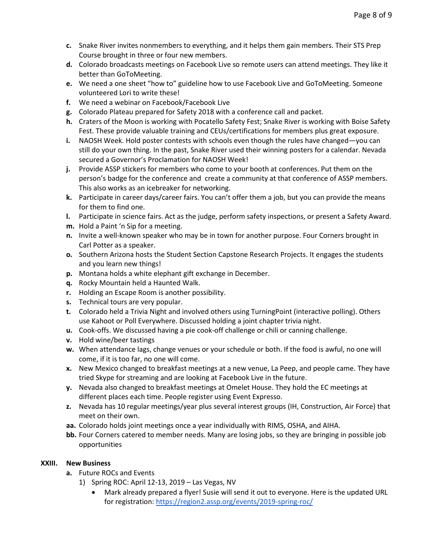- **c.** Snake River invites nonmembers to everything, and it helps them gain members. Their STS Prep Course brought in three or four new members.
- **d.** Colorado broadcasts meetings on Facebook Live so remote users can attend meetings. They like it better than GoToMeeting.
- **e.** We need a one sheet "how to" guideline how to use Facebook Live and GoToMeeting. Someone volunteered Lori to write these!
- **f.** We need a webinar on Facebook/Facebook Live
- **g.** Colorado Plateau prepared for Safety 2018 with a conference call and packet.
- **h.** Craters of the Moon is working with Pocatello Safety Fest; Snake River is working with Boise Safety Fest. These provide valuable training and CEUs/certifications for members plus great exposure.
- **i.** NAOSH Week. Hold poster contests with schools even though the rules have changed—you can still do your own thing. In the past, Snake River used their winning posters for a calendar. Nevada secured a Governor's Proclamation for NAOSH Week!
- **j.** Provide ASSP stickers for members who come to your booth at conferences. Put them on the person's badge for the conference and create a community at that conference of ASSP members. This also works as an icebreaker for networking.
- **k.** Participate in career days/career fairs. You can't offer them a job, but you can provide the means for them to find one.
- **l.** Participate in science fairs. Act as the judge, perform safety inspections, or present a Safety Award.
- **m.** Hold a Paint 'n Sip for a meeting.
- **n.** Invite a well-known speaker who may be in town for another purpose. Four Corners brought in Carl Potter as a speaker.
- **o.** Southern Arizona hosts the Student Section Capstone Research Projects. It engages the students and you learn new things!
- **p.** Montana holds a white elephant gift exchange in December.
- **q.** Rocky Mountain held a Haunted Walk.
- **r.** Holding an Escape Room is another possibility.
- **s.** Technical tours are very popular.
- **t.** Colorado held a Trivia Night and involved others using TurningPoint (interactive polling). Others use Kahoot or Poll Everywhere. Discussed holding a joint chapter trivia night.
- **u.** Cook-offs. We discussed having a pie cook-off challenge or chili or canning challenge.
- **v.** Hold wine/beer tastings
- **w.** When attendance lags, change venues or your schedule or both. If the food is awful, no one will come, if it is too far, no one will come.
- **x.** New Mexico changed to breakfast meetings at a new venue, La Peep, and people came. They have tried Skype for streaming and are looking at Facebook Live in the future.
- **y.** Nevada also changed to breakfast meetings at Omelet House. They hold the EC meetings at different places each time. People register using Event Expresso.
- **z.** Nevada has 10 regular meetings/year plus several interest groups (IH, Construction, Air Force) that meet on their own.
- **aa.** Colorado holds joint meetings once a year individually with RIMS, OSHA, and AIHA.
- **bb.** Four Corners catered to member needs. Many are losing jobs, so they are bringing in possible job opportunities

#### **XXIII. New Business**

- **a.** Future ROCs and Events
	- 1) Spring ROC: April 12-13, 2019 Las Vegas, NV
		- Mark already prepared a flyer! Susie will send it out to everyone. Here is the updated URL for registration[: https://region2.assp.org/events/2019-spring-roc/](https://region2.assp.org/events/2019-spring-roc/)